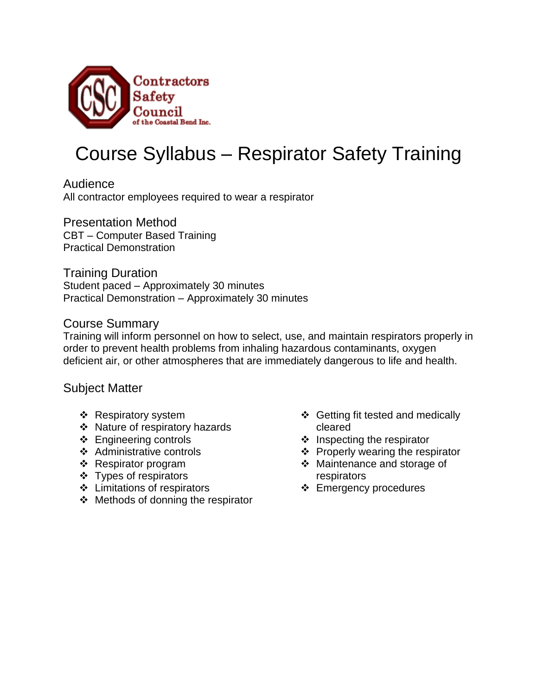

# Course Syllabus – Respirator Safety Training

Audience All contractor employees required to wear a respirator

Presentation Method CBT – Computer Based Training Practical Demonstration

Training Duration Student paced – Approximately 30 minutes Practical Demonstration – Approximately 30 minutes

#### Course Summary

Training will inform personnel on how to select, use, and maintain respirators properly in order to prevent health problems from inhaling hazardous contaminants, oxygen deficient air, or other atmospheres that are immediately dangerous to life and health.

#### Subject Matter

- ❖ Respiratory system
- ❖ Nature of respiratory hazards
- **❖** Engineering controls
- Administrative controls
- \* Respirator program
- ❖ Types of respirators
- Limitations of respirators
- ❖ Methods of donning the respirator
- ❖ Getting fit tested and medically cleared
- $\div$  Inspecting the respirator
- $\div$  Properly wearing the respirator
- Maintenance and storage of respirators
- **❖** Emergency procedures